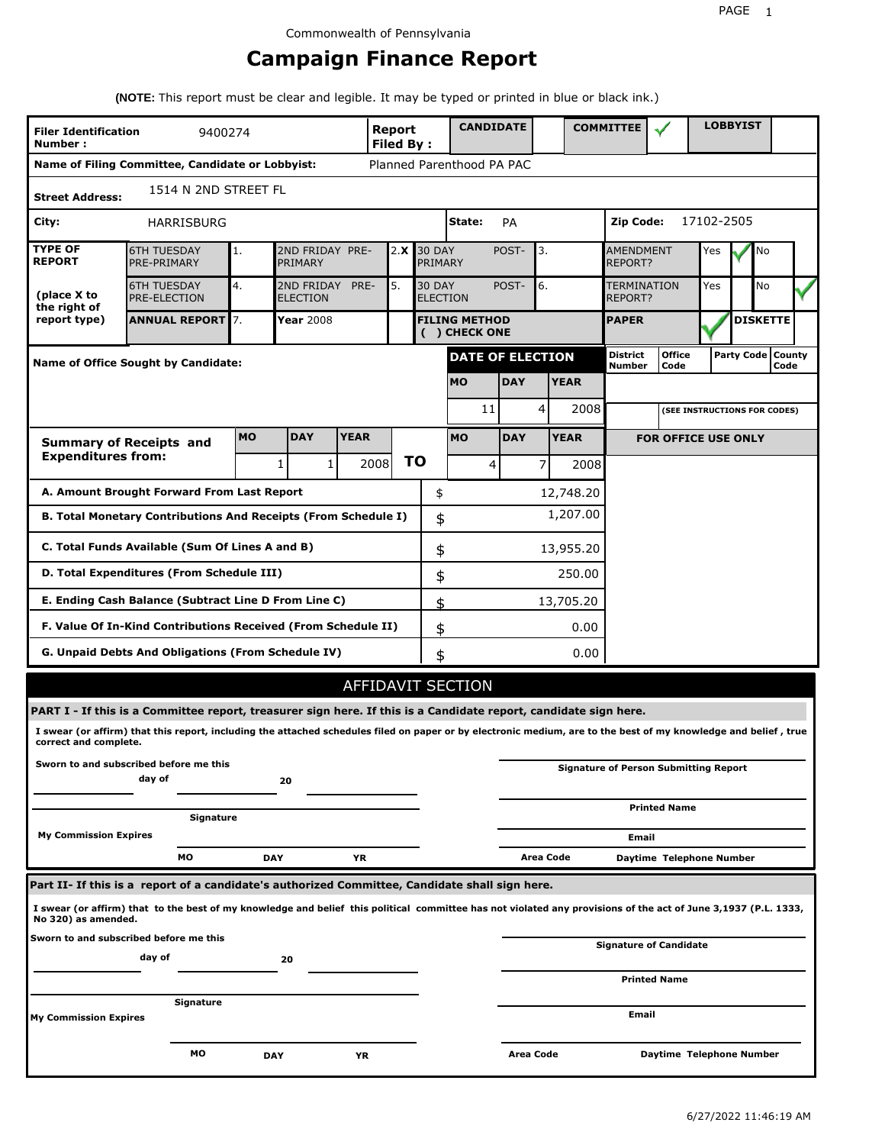# **Campaign Finance Report**

**(NOTE:** This report must be clear and legible. It may be typed or printed in blue or black ink.)

| <b>Filer Identification</b><br>Number: | 9400274                                                                                                                                                         |           |                                    |             | Report<br><b>Filed By:</b> |                                  | <b>CANDIDATE</b>                     |             |           |             | <b>COMMITTEE</b>              |                                              |            | <b>LOBBYIST</b>              |      |  |
|----------------------------------------|-----------------------------------------------------------------------------------------------------------------------------------------------------------------|-----------|------------------------------------|-------------|----------------------------|----------------------------------|--------------------------------------|-------------|-----------|-------------|-------------------------------|----------------------------------------------|------------|------------------------------|------|--|
|                                        | Name of Filing Committee, Candidate or Lobbyist:                                                                                                                |           |                                    |             |                            |                                  | Planned Parenthood PA PAC            |             |           |             |                               |                                              |            |                              |      |  |
| <b>Street Address:</b>                 | 1514 N 2ND STREET FL                                                                                                                                            |           |                                    |             |                            |                                  |                                      |             |           |             |                               |                                              |            |                              |      |  |
| City:                                  | HARRISBURG                                                                                                                                                      |           |                                    |             |                            |                                  | State:                               | <b>PA</b>   |           |             | Zip Code:                     |                                              | 17102-2505 |                              |      |  |
| <b>TYPE OF</b><br><b>REPORT</b>        | <b>6TH TUESDAY</b><br>PRE-PRIMARY                                                                                                                               | 1.        | 2ND FRIDAY PRE-<br>PRIMARY         |             | 2.X                        | <b>30 DAY</b><br>PRIMARY         |                                      | POST-<br>3. |           |             | AMENDMENT<br>REPORT?          |                                              | Yes        | No                           |      |  |
| (place X to<br>the right of            | <b>6TH TUESDAY</b><br><b>PRE-ELECTION</b>                                                                                                                       | 4.        | 2ND FRIDAY PRE-<br><b>ELECTION</b> |             | 5.                         | <b>30 DAY</b><br><b>ELECTION</b> |                                      | POST-       | 6.        |             | <b>TERMINATION</b><br>REPORT? |                                              | Yes        | No                           |      |  |
| report type)                           | <b>ANNUAL REPORT</b> 7.                                                                                                                                         |           | Year 2008                          |             |                            |                                  | <b>FILING METHOD</b><br>() CHECK ONE |             |           |             | <b>PAPER</b>                  |                                              |            | <b>DISKETTE</b>              |      |  |
|                                        | Name of Office Sought by Candidate:                                                                                                                             |           |                                    |             |                            |                                  | <b>DATE OF ELECTION</b>              |             |           |             | <b>District</b><br>Number     | <b>Office</b><br>Code                        |            | Party Code   County          | Code |  |
|                                        |                                                                                                                                                                 |           |                                    |             |                            |                                  | <b>MO</b>                            | <b>DAY</b>  |           | <b>YEAR</b> |                               |                                              |            |                              |      |  |
|                                        |                                                                                                                                                                 |           |                                    |             |                            |                                  | 11                                   |             | 4         | 2008        |                               |                                              |            | (SEE INSTRUCTIONS FOR CODES) |      |  |
|                                        | <b>Summary of Receipts and</b>                                                                                                                                  | <b>MO</b> | <b>DAY</b>                         | <b>YEAR</b> |                            |                                  | <b>MO</b>                            | <b>DAY</b>  |           | <b>YEAR</b> |                               | <b>FOR OFFICE USE ONLY</b>                   |            |                              |      |  |
| <b>Expenditures from:</b>              |                                                                                                                                                                 |           | $\mathbf{1}$<br>1                  | 2008        | <b>TO</b>                  |                                  | 4                                    |             | 7         | 2008        |                               |                                              |            |                              |      |  |
|                                        | A. Amount Brought Forward From Last Report                                                                                                                      |           |                                    |             |                            | \$                               |                                      |             |           | 12,748.20   |                               |                                              |            |                              |      |  |
|                                        | B. Total Monetary Contributions And Receipts (From Schedule I)                                                                                                  |           |                                    |             |                            | \$                               | 1,207.00                             |             |           |             |                               |                                              |            |                              |      |  |
|                                        | C. Total Funds Available (Sum Of Lines A and B)                                                                                                                 |           |                                    |             |                            | \$                               |                                      |             |           | 13,955.20   |                               |                                              |            |                              |      |  |
|                                        | D. Total Expenditures (From Schedule III)                                                                                                                       |           |                                    |             |                            | \$                               |                                      |             |           | 250.00      |                               |                                              |            |                              |      |  |
|                                        | E. Ending Cash Balance (Subtract Line D From Line C)                                                                                                            |           |                                    |             |                            | \$                               |                                      |             |           | 13,705.20   |                               |                                              |            |                              |      |  |
|                                        | F. Value Of In-Kind Contributions Received (From Schedule II)                                                                                                   |           |                                    |             |                            | \$                               |                                      |             |           | 0.00        |                               |                                              |            |                              |      |  |
|                                        | G. Unpaid Debts And Obligations (From Schedule IV)                                                                                                              |           |                                    |             |                            | \$                               |                                      |             |           | 0.00        |                               |                                              |            |                              |      |  |
|                                        |                                                                                                                                                                 |           |                                    |             |                            |                                  | <b>AFFIDAVIT SECTION</b>             |             |           |             |                               |                                              |            |                              |      |  |
|                                        | PART I - If this is a Committee report, treasurer sign here. If this is a Candidate report, candidate sign here.                                                |           |                                    |             |                            |                                  |                                      |             |           |             |                               |                                              |            |                              |      |  |
| correct and complete.                  | I swear (or affirm) that this report, including the attached schedules filed on paper or by electronic medium, are to the best of my knowledge and belief, true |           |                                    |             |                            |                                  |                                      |             |           |             |                               |                                              |            |                              |      |  |
|                                        | Sworn to and subscribed before me this<br>day of                                                                                                                |           | 20                                 |             |                            |                                  |                                      |             |           |             |                               | <b>Signature of Person Submitting Report</b> |            |                              |      |  |
|                                        |                                                                                                                                                                 |           |                                    |             |                            |                                  |                                      |             |           |             |                               | <b>Printed Name</b>                          |            |                              |      |  |
| <b>My Commission Expires</b>           | Signature                                                                                                                                                       |           |                                    |             |                            |                                  |                                      |             |           |             | Email                         |                                              |            |                              |      |  |
|                                        | МO                                                                                                                                                              | DAY       |                                    | YR          |                            |                                  |                                      |             | Area Code |             |                               | Daytime Telephone Number                     |            |                              |      |  |
|                                        | Part II- If this is a report of a candidate's authorized Committee, Candidate shall sign here.                                                                  |           |                                    |             |                            |                                  |                                      |             |           |             |                               |                                              |            |                              |      |  |
| No 320) as amended.                    | I swear (or affirm) that to the best of my knowledge and belief this political committee has not violated any provisions of the act of June 3,1937 (P.L. 1333,  |           |                                    |             |                            |                                  |                                      |             |           |             |                               |                                              |            |                              |      |  |
|                                        | Sworn to and subscribed before me this<br>day of                                                                                                                |           | 20                                 |             |                            |                                  |                                      |             |           |             |                               | <b>Signature of Candidate</b>                |            |                              |      |  |
|                                        |                                                                                                                                                                 |           |                                    |             |                            |                                  |                                      |             |           |             |                               | <b>Printed Name</b>                          |            |                              |      |  |
|                                        | Signature                                                                                                                                                       |           |                                    |             |                            |                                  |                                      |             |           |             | Email                         |                                              |            |                              |      |  |
| My Commission Expires                  |                                                                                                                                                                 |           |                                    |             |                            |                                  |                                      |             |           |             |                               |                                              |            |                              |      |  |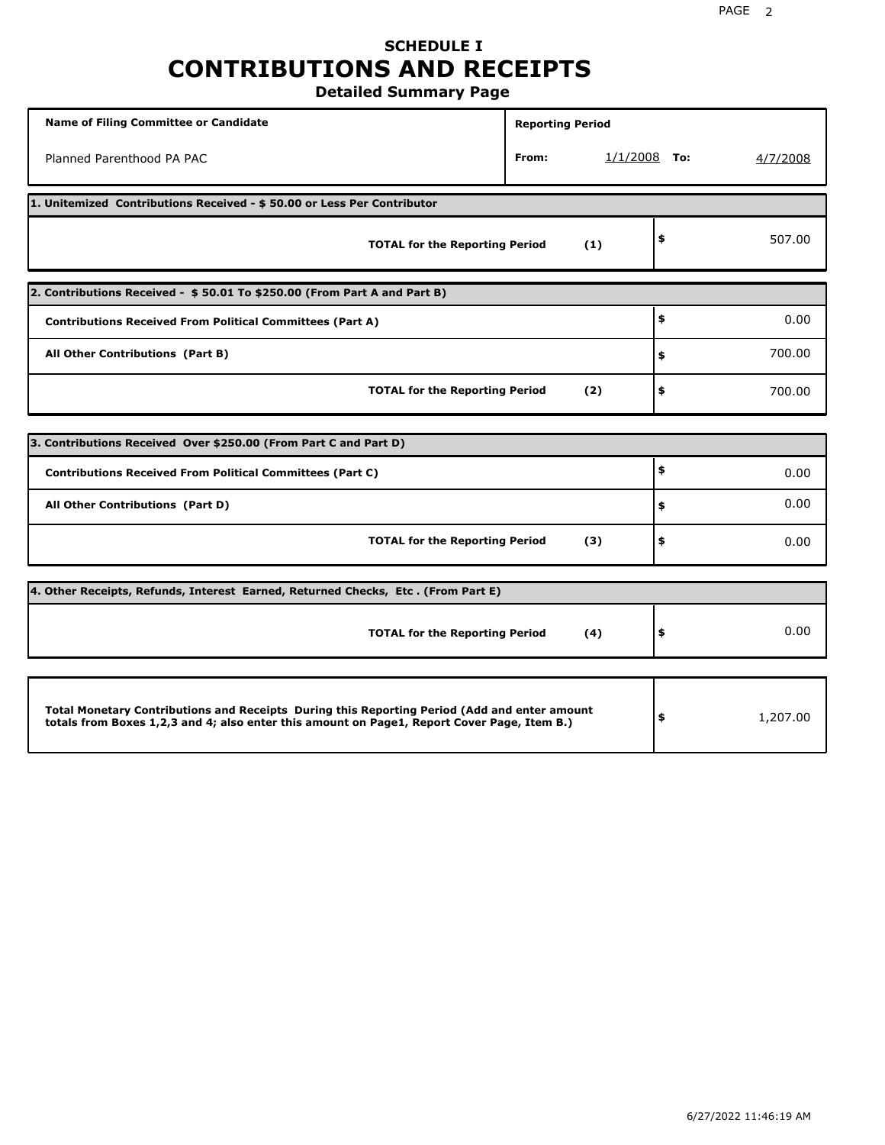# **SCHEDULE I CONTRIBUTIONS AND RECEIPTS**

**Detailed Summary Page**

| <b>Name of Filing Committee or Candidate</b>                                                                                                                                                | <b>Reporting Period</b> |                |          |
|---------------------------------------------------------------------------------------------------------------------------------------------------------------------------------------------|-------------------------|----------------|----------|
| Planned Parenthood PA PAC                                                                                                                                                                   | From:                   | $1/1/2008$ To: | 4/7/2008 |
| 1. Unitemized Contributions Received - \$50.00 or Less Per Contributor                                                                                                                      |                         |                |          |
| <b>TOTAL for the Reporting Period</b>                                                                                                                                                       | (1)                     | \$             | 507.00   |
| 2. Contributions Received - \$50.01 To \$250.00 (From Part A and Part B)                                                                                                                    |                         |                |          |
| <b>Contributions Received From Political Committees (Part A)</b>                                                                                                                            |                         | \$             | 0.00     |
| All Other Contributions (Part B)                                                                                                                                                            |                         | \$             | 700.00   |
| <b>TOTAL for the Reporting Period</b>                                                                                                                                                       | (2)                     | \$             | 700.00   |
|                                                                                                                                                                                             |                         |                |          |
| 3. Contributions Received Over \$250.00 (From Part C and Part D)                                                                                                                            |                         | \$             |          |
| <b>Contributions Received From Political Committees (Part C)</b>                                                                                                                            |                         |                | 0.00     |
| All Other Contributions (Part D)                                                                                                                                                            |                         | \$             | 0.00     |
| <b>TOTAL for the Reporting Period</b>                                                                                                                                                       | (3)                     | \$             | 0.00     |
| 4. Other Receipts, Refunds, Interest Earned, Returned Checks, Etc. (From Part E)                                                                                                            |                         |                |          |
| <b>TOTAL for the Reporting Period</b>                                                                                                                                                       | (4)                     | \$             | 0.00     |
|                                                                                                                                                                                             |                         |                |          |
| Total Monetary Contributions and Receipts During this Reporting Period (Add and enter amount<br>totals from Boxes 1,2,3 and 4; also enter this amount on Page1, Report Cover Page, Item B.) |                         | \$             | 1,207.00 |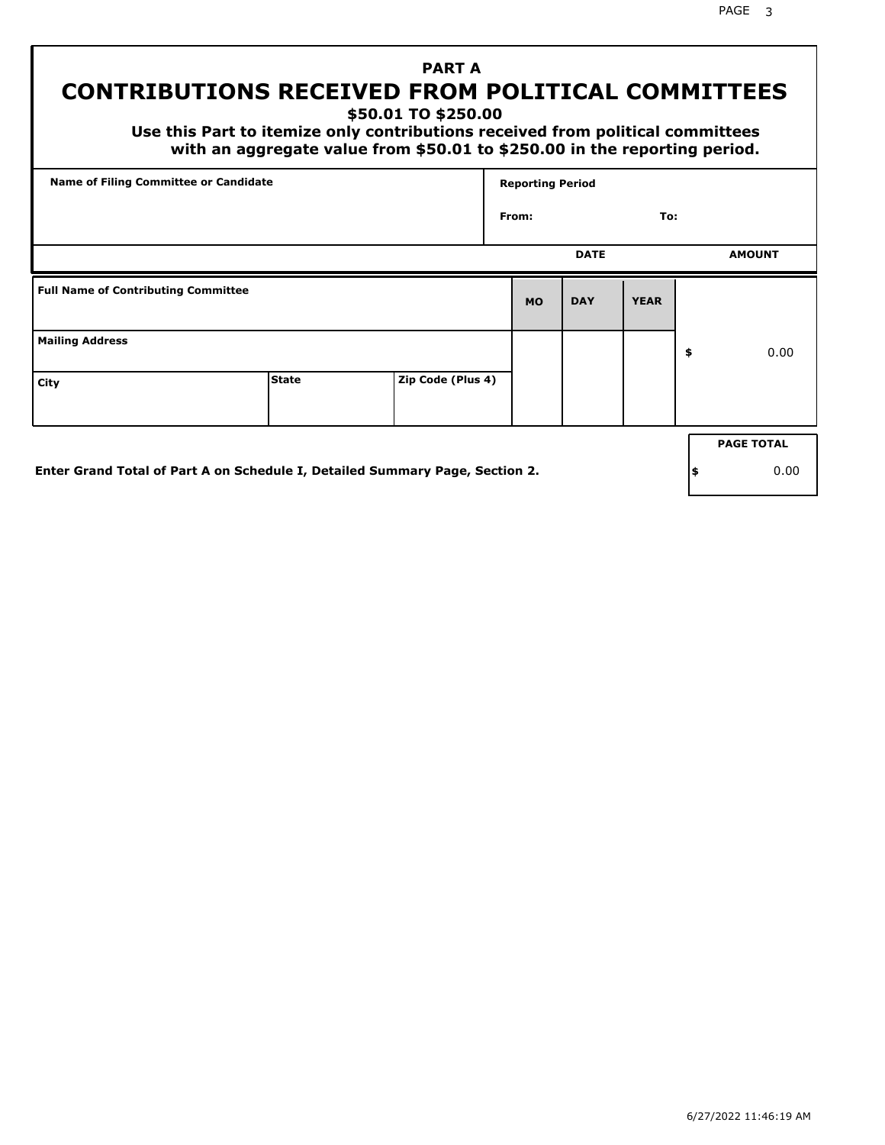PAGE 3

## **PART A CONTRIBUTIONS RECEIVED FROM POLITICAL COMMITTEES**

**\$50.01 TO \$250.00**

 **Use this Part to itemize only contributions received from political committees with an aggregate value from \$50.01 to \$250.00 in the reporting period.**

|                                            | Name of Filing Committee or Candidate |                   |           |             |             |                   |
|--------------------------------------------|---------------------------------------|-------------------|-----------|-------------|-------------|-------------------|
|                                            |                                       |                   | From:     |             | To:         |                   |
|                                            |                                       |                   |           | <b>DATE</b> |             | <b>AMOUNT</b>     |
| <b>Full Name of Contributing Committee</b> |                                       |                   | <b>MO</b> | <b>DAY</b>  | <b>YEAR</b> |                   |
| <b>Mailing Address</b>                     |                                       |                   |           |             |             | \$<br>0.00        |
| City                                       | <b>State</b>                          | Zip Code (Plus 4) |           |             |             |                   |
|                                            |                                       |                   |           |             |             | <b>PAGE TOTAL</b> |
|                                            |                                       |                   |           |             |             |                   |

**Enter Grand Total of Part A on Schedule I, Detailed Summary Page, Section 2.**

**\$** 0.00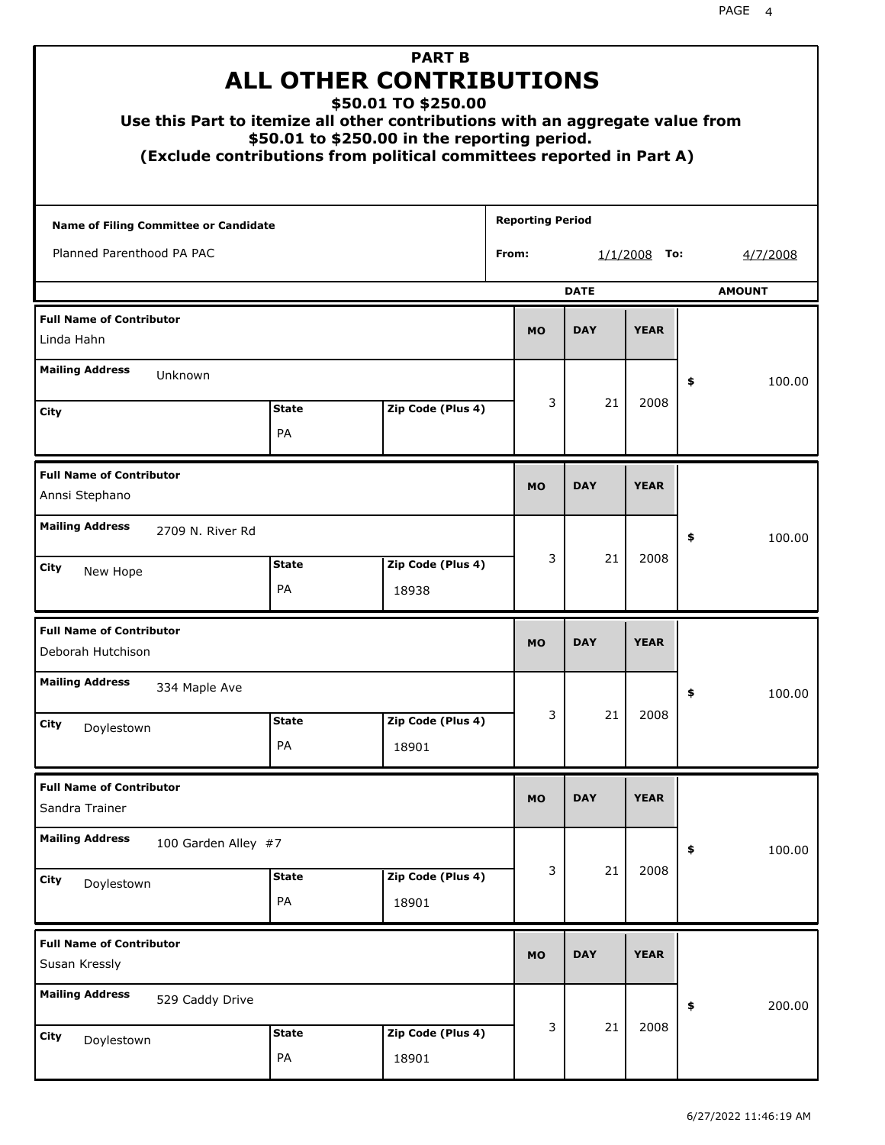| Use this Part to itemize all other contributions with an aggregate value from<br>(Exclude contributions from political committees reported in Part A) | <b>ALL OTHER CONTRIBUTIONS</b><br>\$50.01 to \$250.00 in the reporting period. | <b>PART B</b><br>\$50.01 TO \$250.00 |       |                         |             |                 |    |               |
|-------------------------------------------------------------------------------------------------------------------------------------------------------|--------------------------------------------------------------------------------|--------------------------------------|-------|-------------------------|-------------|-----------------|----|---------------|
| <b>Name of Filing Committee or Candidate</b>                                                                                                          |                                                                                |                                      |       | <b>Reporting Period</b> |             |                 |    |               |
| Planned Parenthood PA PAC                                                                                                                             |                                                                                |                                      | From: |                         |             | 1/1/2008<br>To: |    | 4/7/2008      |
|                                                                                                                                                       |                                                                                |                                      |       |                         | <b>DATE</b> |                 |    | <b>AMOUNT</b> |
| <b>Full Name of Contributor</b><br>Linda Hahn                                                                                                         |                                                                                |                                      |       | <b>MO</b>               | <b>DAY</b>  | <b>YEAR</b>     |    |               |
| <b>Mailing Address</b><br>Unknown                                                                                                                     |                                                                                |                                      |       |                         |             |                 | \$ | 100.00        |
| City                                                                                                                                                  | <b>State</b>                                                                   | Zip Code (Plus 4)                    |       | 3                       | 21          | 2008            |    |               |
|                                                                                                                                                       | PA                                                                             |                                      |       |                         |             |                 |    |               |
| <b>Full Name of Contributor</b><br>Annsi Stephano                                                                                                     |                                                                                |                                      |       |                         | <b>DAY</b>  | <b>YEAR</b>     |    |               |
| <b>Mailing Address</b><br>2709 N. River Rd                                                                                                            |                                                                                |                                      |       |                         |             |                 | \$ | 100.00        |
| City<br>New Hope                                                                                                                                      | <b>State</b><br>PA                                                             | Zip Code (Plus 4)<br>18938           |       | 3                       | 21          | 2008            |    |               |
| <b>Full Name of Contributor</b><br>Deborah Hutchison                                                                                                  |                                                                                |                                      |       | <b>MO</b>               | <b>DAY</b>  | <b>YEAR</b>     |    |               |
| <b>Mailing Address</b><br>334 Maple Ave                                                                                                               |                                                                                |                                      |       |                         |             |                 | Ş  | 100.00        |
| City<br>Doylestown                                                                                                                                    | <b>State</b>                                                                   | Zip Code (Plus 4)                    |       | 3                       | 21          | 2008            |    |               |
|                                                                                                                                                       | PA                                                                             | 18901                                |       |                         |             |                 |    |               |
| <b>Full Name of Contributor</b><br>Sandra Trainer                                                                                                     |                                                                                |                                      |       | <b>MO</b>               | <b>DAY</b>  | <b>YEAR</b>     |    |               |
| <b>Mailing Address</b><br>100 Garden Alley #7                                                                                                         |                                                                                |                                      |       |                         |             |                 | \$ | 100.00        |
| City<br>Doylestown                                                                                                                                    | <b>State</b><br>PA                                                             | Zip Code (Plus 4)<br>18901           |       | 3                       | 21          | 2008            |    |               |
| <b>Full Name of Contributor</b><br>Susan Kressly                                                                                                      |                                                                                |                                      |       | <b>MO</b>               | <b>DAY</b>  | <b>YEAR</b>     |    |               |
| <b>Mailing Address</b><br>529 Caddy Drive                                                                                                             |                                                                                |                                      |       |                         |             |                 | \$ | 200.00        |
| City<br>Doylestown                                                                                                                                    | <b>State</b><br>PA                                                             | Zip Code (Plus 4)<br>18901           |       | 3                       | 21          | 2008            |    |               |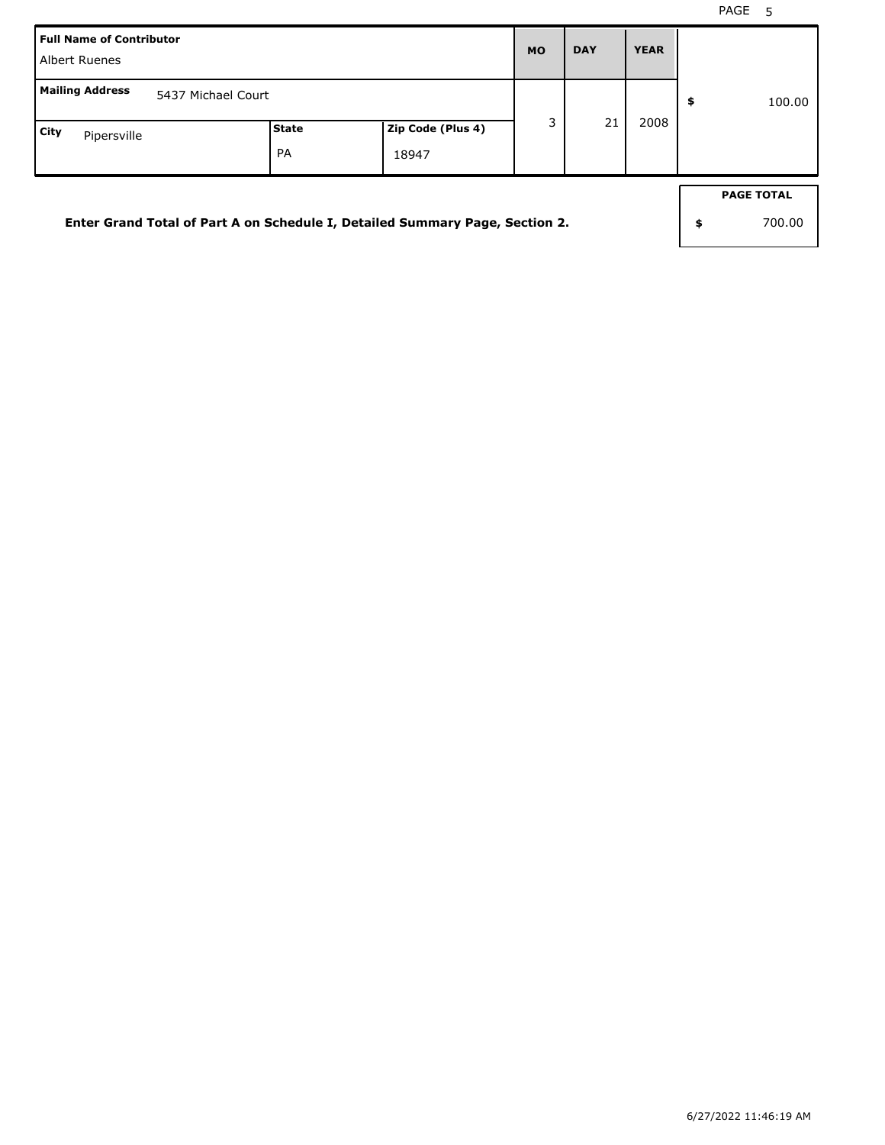| <b>Full Name of Contributor</b><br>Albert Ruenes                             |       |                   | <b>MO</b> | <b>DAY</b> | <b>YEAR</b> |                   |
|------------------------------------------------------------------------------|-------|-------------------|-----------|------------|-------------|-------------------|
| <b>Mailing Address</b><br>5437 Michael Court                                 |       |                   |           |            |             | \$<br>100.00      |
| City<br>Pipersville                                                          | State | Zip Code (Plus 4) | 3         | 21         | 2008        |                   |
|                                                                              | PA    | 18947             |           |            |             |                   |
|                                                                              |       |                   |           |            |             | <b>PAGE TOTAL</b> |
| Enter Grand Total of Part A on Schedule I, Detailed Summary Page, Section 2. |       |                   |           |            |             | \$<br>700.00      |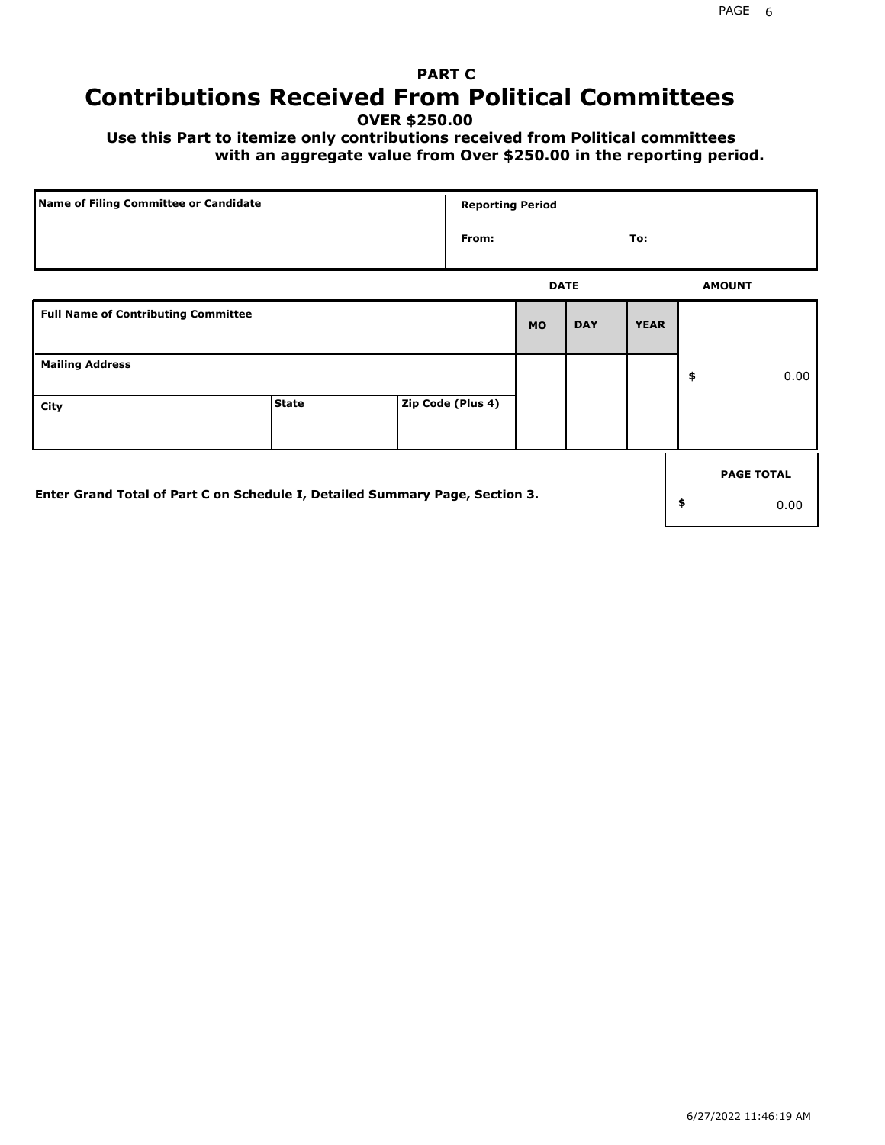## **PART C Contributions Received From Political Committees**

**OVER \$250.00**

 **Use this Part to itemize only contributions received from Political committees with an aggregate value from Over \$250.00 in the reporting period.**

|                                                                              | Name of Filing Committee or Candidate |  |                   | <b>Reporting Period</b> |            |             |                   |
|------------------------------------------------------------------------------|---------------------------------------|--|-------------------|-------------------------|------------|-------------|-------------------|
|                                                                              |                                       |  | From:             |                         |            | To:         |                   |
|                                                                              |                                       |  |                   | <b>DATE</b>             |            |             | <b>AMOUNT</b>     |
| <b>Full Name of Contributing Committee</b>                                   |                                       |  |                   | <b>MO</b>               | <b>DAY</b> | <b>YEAR</b> |                   |
| <b>Mailing Address</b>                                                       |                                       |  |                   |                         |            |             | \$<br>0.00        |
| City                                                                         | <b>State</b>                          |  | Zip Code (Plus 4) |                         |            |             |                   |
|                                                                              |                                       |  |                   |                         |            |             | <b>PAGE TOTAL</b> |
| Enter Grand Total of Part C on Schedule I, Detailed Summary Page, Section 3. |                                       |  |                   |                         |            |             | \$<br>0.00        |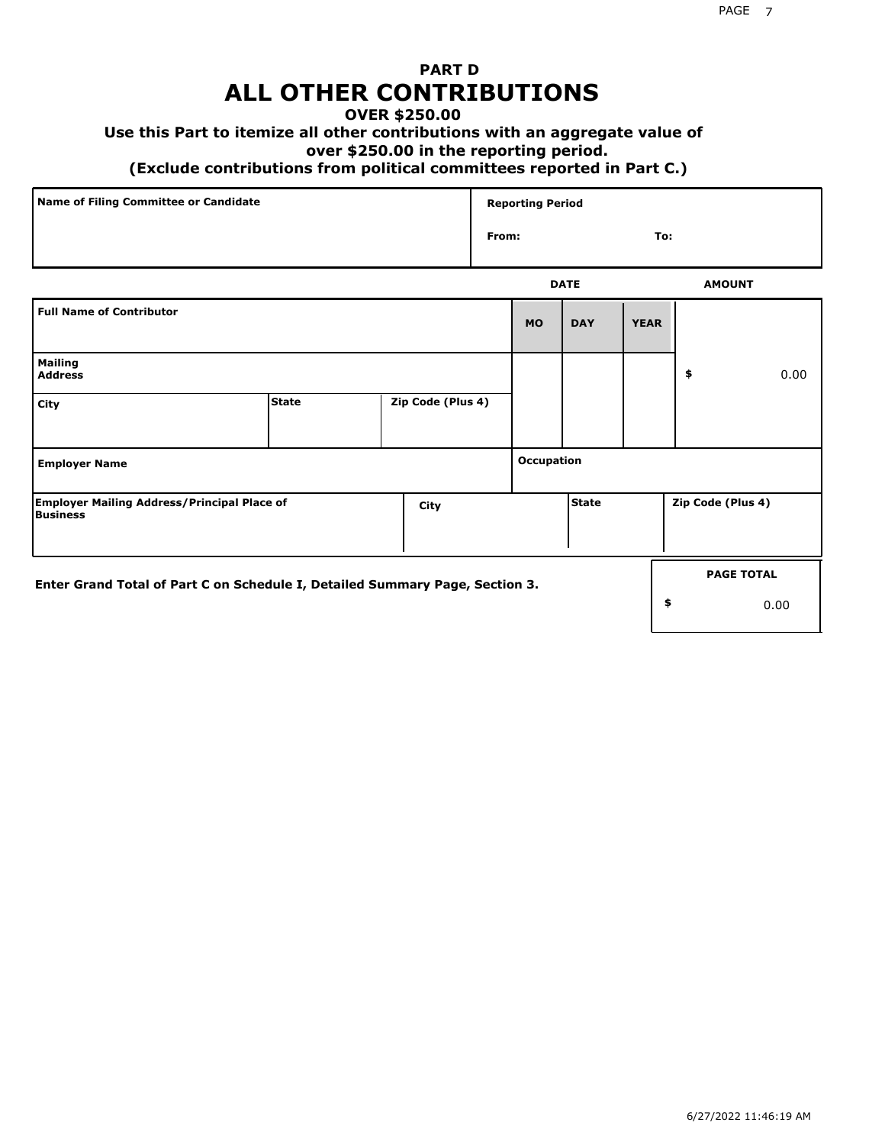## **PART D ALL OTHER CONTRIBUTIONS**

### **OVER \$250.00**

### **Use this Part to itemize all other contributions with an aggregate value of**

#### **over \$250.00 in the reporting period.**

#### **(Exclude contributions from political committees reported in Part C.)**

| Name of Filing Committee or Candidate | <b>Reporting Period</b> |     |
|---------------------------------------|-------------------------|-----|
|                                       | From:                   | To: |
|                                       |                         |     |

|                                                                              |              |                   |            | <b>DATE</b> |             | <b>AMOUNT</b>     |                   |
|------------------------------------------------------------------------------|--------------|-------------------|------------|-------------|-------------|-------------------|-------------------|
| <b>Full Name of Contributor</b>                                              |              |                   | <b>MO</b>  | <b>DAY</b>  | <b>YEAR</b> |                   |                   |
| <b>Mailing</b><br><b>Address</b>                                             |              |                   |            |             |             | \$                | 0.00              |
| City                                                                         | <b>State</b> | Zip Code (Plus 4) |            |             |             |                   |                   |
| <b>Employer Name</b>                                                         |              |                   | Occupation |             |             |                   |                   |
| <b>Employer Mailing Address/Principal Place of</b><br><b>Business</b>        |              | City              |            | State       |             | Zip Code (Plus 4) |                   |
| Enter Grand Total of Part C on Schedule I, Detailed Summary Page, Section 3. |              |                   |            |             |             |                   | <b>PAGE TOTAL</b> |
|                                                                              |              |                   |            |             | \$          |                   | 0.00              |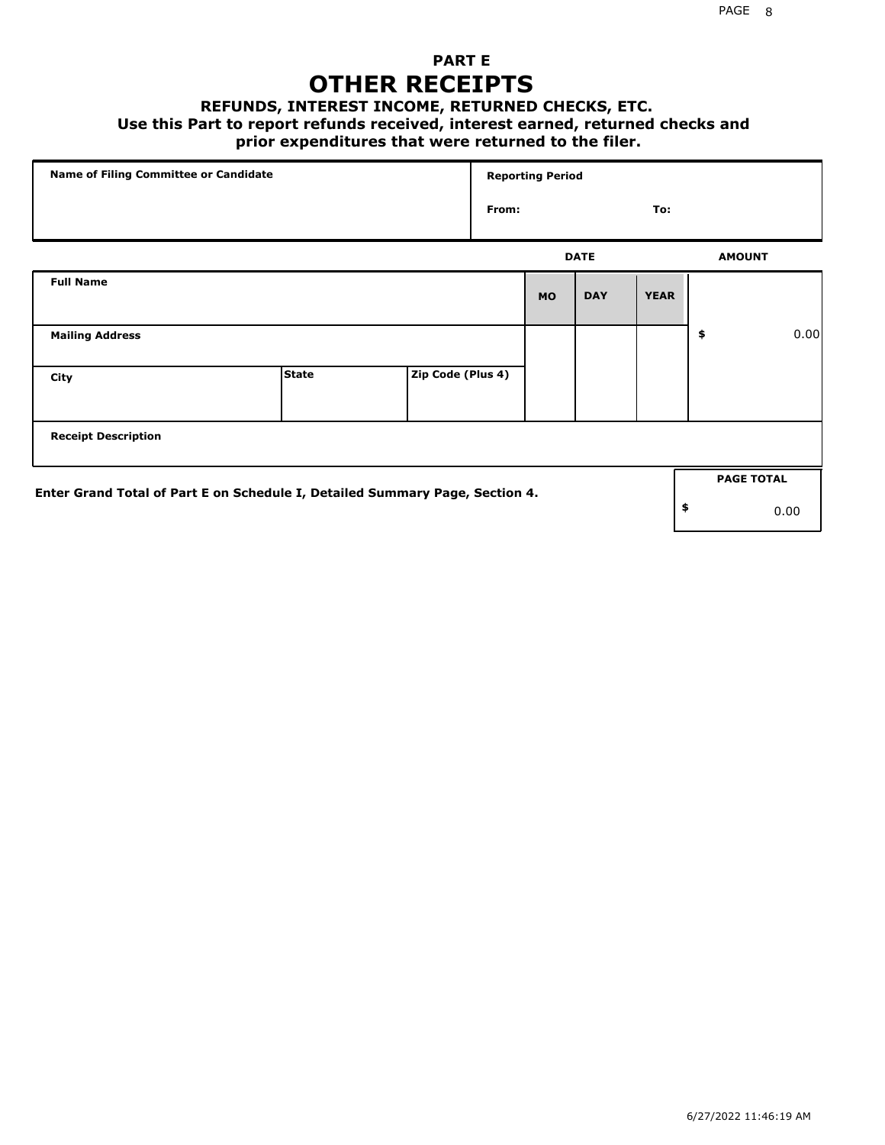### **PART E OTHER RECEIPTS**

#### **REFUNDS, INTEREST INCOME, RETURNED CHECKS, ETC.**

 **Use this Part to report refunds received, interest earned, returned checks and**

### **prior expenditures that were returned to the filer.**

|                                                                              | Name of Filing Committee or Candidate |                   |       | <b>Reporting Period</b> |             |             |                   |      |
|------------------------------------------------------------------------------|---------------------------------------|-------------------|-------|-------------------------|-------------|-------------|-------------------|------|
|                                                                              |                                       |                   | From: |                         |             | To:         |                   |      |
|                                                                              |                                       |                   |       |                         | <b>DATE</b> |             | <b>AMOUNT</b>     |      |
| <b>Full Name</b>                                                             |                                       |                   |       | <b>MO</b>               | <b>DAY</b>  | <b>YEAR</b> |                   |      |
| <b>Mailing Address</b>                                                       |                                       |                   |       |                         |             |             | \$                | 0.00 |
| City                                                                         | <b>State</b>                          | Zip Code (Plus 4) |       |                         |             |             |                   |      |
| <b>Receipt Description</b>                                                   |                                       |                   |       |                         |             |             |                   |      |
| Enter Grand Total of Part E on Schedule I, Detailed Summary Page, Section 4. |                                       |                   |       |                         |             |             | <b>PAGE TOTAL</b> |      |
|                                                                              |                                       |                   |       |                         |             |             | \$                | 0.00 |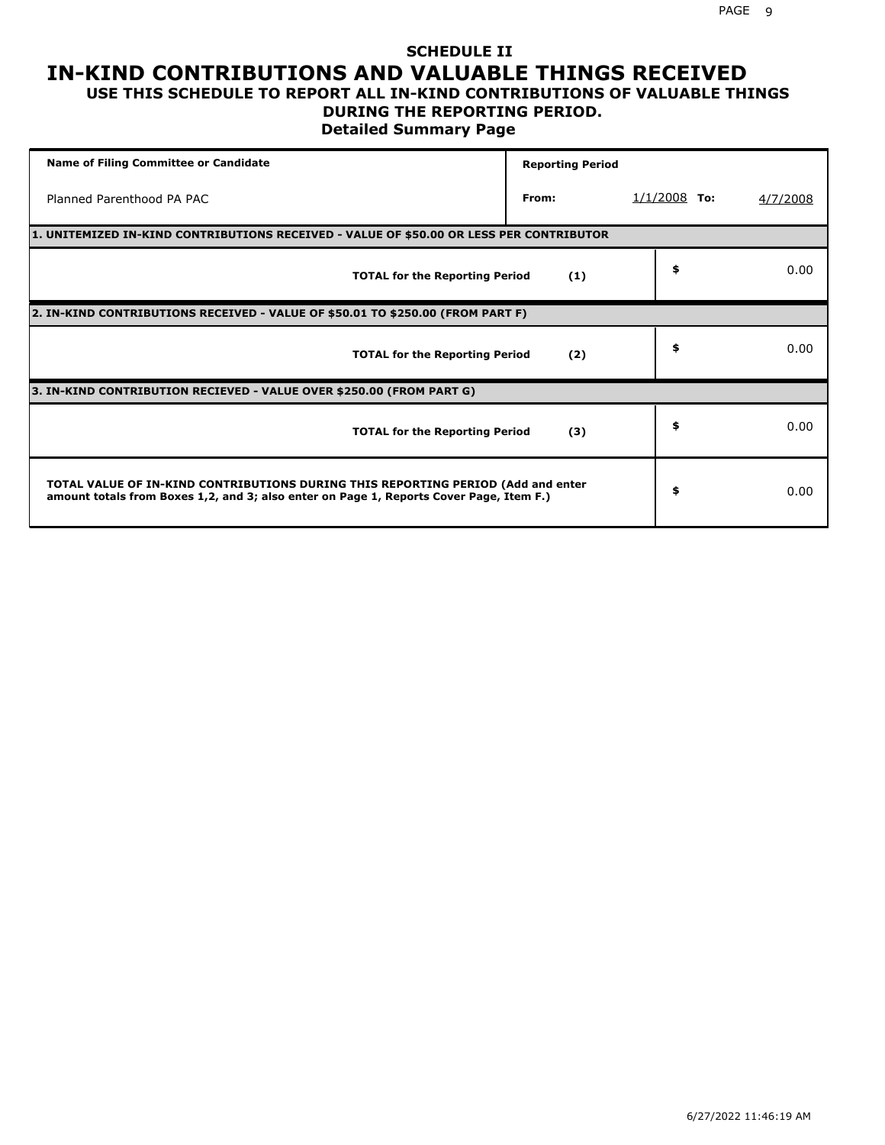### **SCHEDULE II IN-KIND CONTRIBUTIONS AND VALUABLE THINGS RECEIVED USE THIS SCHEDULE TO REPORT ALL IN-KIND CONTRIBUTIONS OF VALUABLE THINGS**

## **DURING THE REPORTING PERIOD.**

**Detailed Summary Page**

| <b>Name of Filing Committee or Candidate</b>                                                                                                                                | <b>Reporting Period</b> |                |          |
|-----------------------------------------------------------------------------------------------------------------------------------------------------------------------------|-------------------------|----------------|----------|
| Planned Parenthood PA PAC                                                                                                                                                   | From:                   | $1/1/2008$ To: | 4/7/2008 |
| 1. UNITEMIZED IN-KIND CONTRIBUTIONS RECEIVED - VALUE OF \$50.00 OR LESS PER CONTRIBUTOR                                                                                     |                         |                |          |
| <b>TOTAL for the Reporting Period</b>                                                                                                                                       | (1)                     | \$             | 0.00     |
| 2. IN-KIND CONTRIBUTIONS RECEIVED - VALUE OF \$50.01 TO \$250.00 (FROM PART F)                                                                                              |                         |                |          |
| <b>TOTAL for the Reporting Period</b>                                                                                                                                       | (2)                     | \$             | 0.00     |
| 3. IN-KIND CONTRIBUTION RECIEVED - VALUE OVER \$250.00 (FROM PART G)                                                                                                        |                         |                |          |
| <b>TOTAL for the Reporting Period</b>                                                                                                                                       | (3)                     | \$             | 0.00     |
| TOTAL VALUE OF IN-KIND CONTRIBUTIONS DURING THIS REPORTING PERIOD (Add and enter<br>amount totals from Boxes 1,2, and 3; also enter on Page 1, Reports Cover Page, Item F.) |                         | \$             | 0.00     |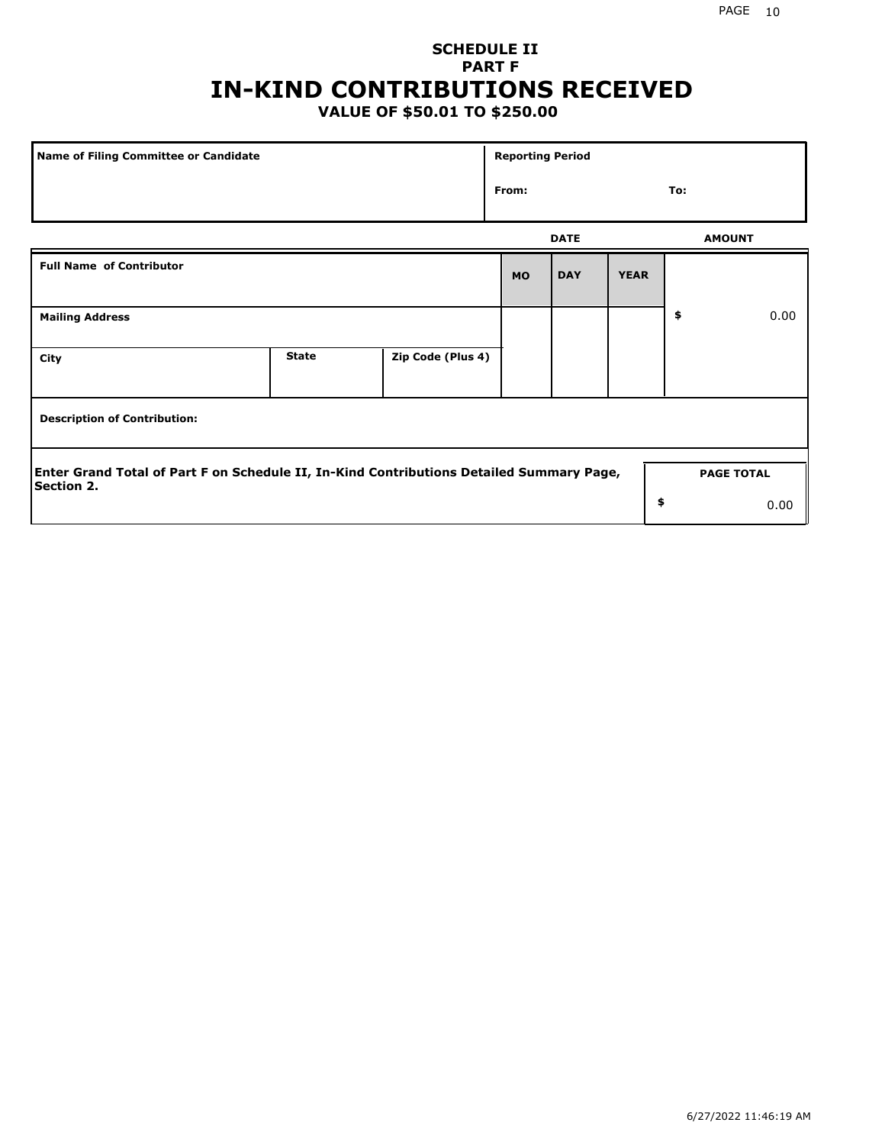## **SCHEDULE II PART F IN-KIND CONTRIBUTIONS RECEIVED**

### **VALUE OF \$50.01 TO \$250.00**

| Name of Filing Committee or Candidate                                                                  |              |                   |           |             | <b>Reporting Period</b> |    |                   |  |  |  |
|--------------------------------------------------------------------------------------------------------|--------------|-------------------|-----------|-------------|-------------------------|----|-------------------|--|--|--|
|                                                                                                        | From:        |                   |           | To:         |                         |    |                   |  |  |  |
|                                                                                                        |              |                   |           | <b>DATE</b> |                         |    | <b>AMOUNT</b>     |  |  |  |
| <b>Full Name of Contributor</b>                                                                        |              |                   | <b>MO</b> | <b>DAY</b>  | <b>YEAR</b>             |    |                   |  |  |  |
| <b>Mailing Address</b>                                                                                 |              |                   |           |             |                         | \$ | 0.00              |  |  |  |
| City                                                                                                   | <b>State</b> | Zip Code (Plus 4) |           |             |                         |    |                   |  |  |  |
| <b>Description of Contribution:</b>                                                                    |              |                   |           |             |                         |    |                   |  |  |  |
| Enter Grand Total of Part F on Schedule II, In-Kind Contributions Detailed Summary Page,<br>Section 2. |              |                   |           |             |                         |    | <b>PAGE TOTAL</b> |  |  |  |
|                                                                                                        |              |                   |           |             | \$                      |    | 0.00              |  |  |  |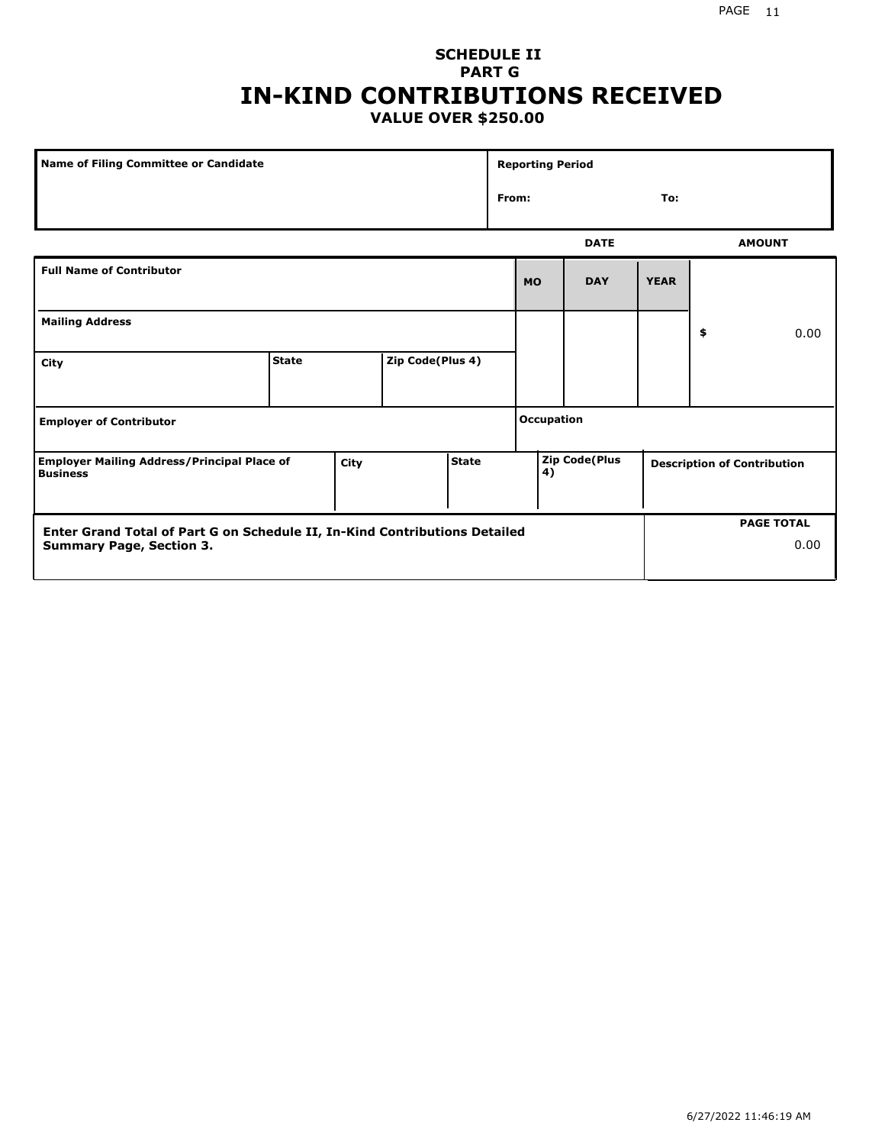#### PAGE 11

### **SCHEDULE II PART G IN-KIND CONTRIBUTIONS RECEIVED VALUE OVER \$250.00**

| <b>Name of Filing Committee or Candidate</b>                                                                  |              |                  |    |                      | <b>Reporting Period</b> |                                    |                   |               |  |
|---------------------------------------------------------------------------------------------------------------|--------------|------------------|----|----------------------|-------------------------|------------------------------------|-------------------|---------------|--|
|                                                                                                               |              |                  |    |                      | From:                   |                                    | To:               |               |  |
|                                                                                                               |              |                  |    |                      |                         | <b>DATE</b>                        |                   | <b>AMOUNT</b> |  |
| <b>Full Name of Contributor</b>                                                                               |              |                  |    |                      | <b>MO</b>               | <b>DAY</b>                         | <b>YEAR</b>       |               |  |
| <b>Mailing Address</b>                                                                                        |              |                  |    |                      |                         |                                    | \$                | 0.00          |  |
| City                                                                                                          | <b>State</b> | Zip Code(Plus 4) |    |                      |                         |                                    |                   |               |  |
| <b>Employer of Contributor</b>                                                                                |              |                  |    |                      | <b>Occupation</b>       |                                    |                   |               |  |
| <b>State</b><br><b>Employer Mailing Address/Principal Place of</b><br>City<br><b>Business</b>                 |              |                  | 4) | <b>Zip Code(Plus</b> |                         | <b>Description of Contribution</b> |                   |               |  |
| Enter Grand Total of Part G on Schedule II, In-Kind Contributions Detailed<br><b>Summary Page, Section 3.</b> |              |                  |    |                      |                         |                                    | <b>PAGE TOTAL</b> | 0.00          |  |